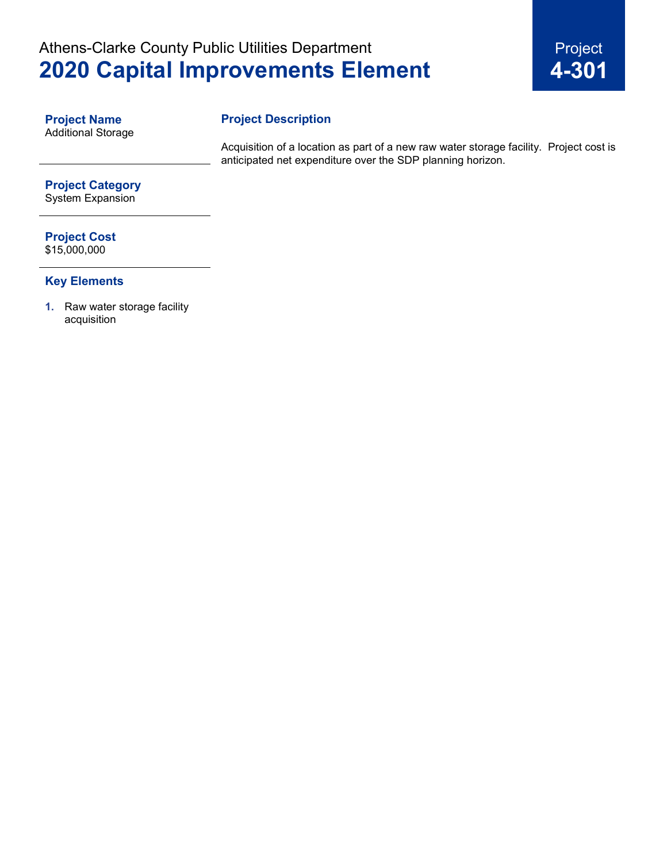# Athens-Clarke County Public Utilities Department **2020 Capital Improvements Element**



**Project Name** Additional Storage

### **Project Description**

Acquisition of a location as part of a new raw water storage facility. Project cost is anticipated net expenditure over the SDP planning horizon.

## **Project Category**

System Expansion

## **Project Cost**

\$15,000,000

#### **Key Elements**

**1.** Raw water storage facility acquisition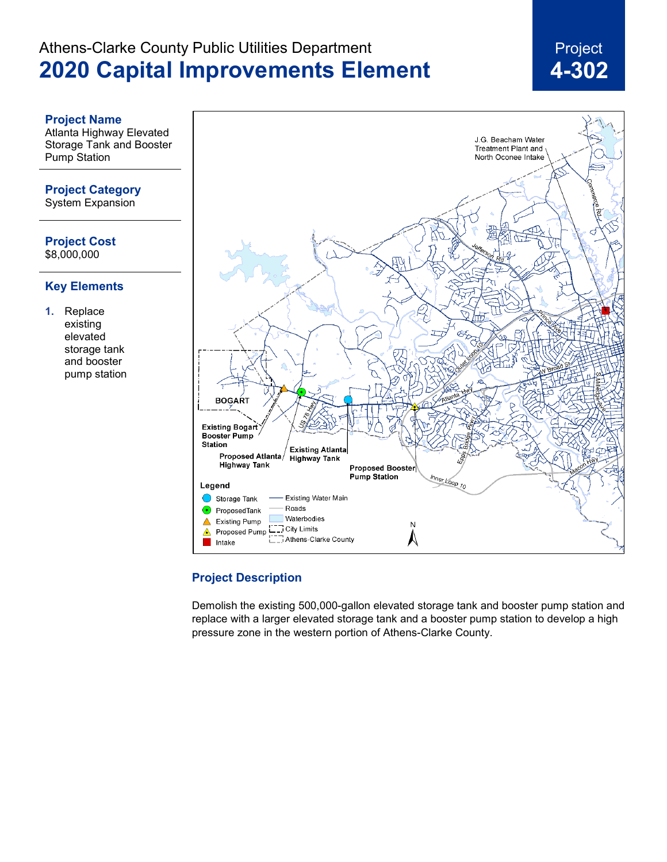# Athens-Clarke County Public Utilities Department **2020 Capital Improvements Element**

# Project **4-302**

#### **Project Name**

Atlanta Highway Elevated Storage Tank and Booster Pump Station

#### **Project Category**

System Expansion

**Project Cost** \$8,000,000

#### **Key Elements**

**1.** Replace existing elevated storage tank and booster pump station



#### **Project Description**

Demolish the existing 500,000-gallon elevated storage tank and booster pump station and replace with a larger elevated storage tank and a booster pump station to develop a high pressure zone in the western portion of Athens-Clarke County.